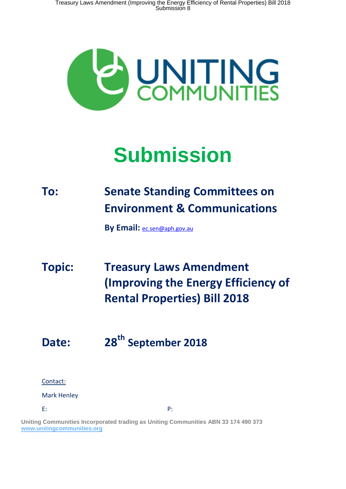Treasury Laws Amendment (Improving the Energy Efficiency of Rental Properties) Bill 2018 Submission 8



# **Submission**

### **To: Senate Standing Committees on Environment & Communications**

**By Email:** [ec.sen@aph.gov.au](mailto:ec.sen@aph.gov.au)

# **Topic: Treasury Laws Amendment (Improving the Energy Efficiency of Rental Properties) Bill 2018**

## **Date: 28th September 2018**

#### Contact:

#### Mark Henley

E: P:

**Uniting Communities Incorporated trading as Uniting Communities ABN 33 174 490 373 [www.unitingcommunities.org](http://www.unitingcommunities.org/)**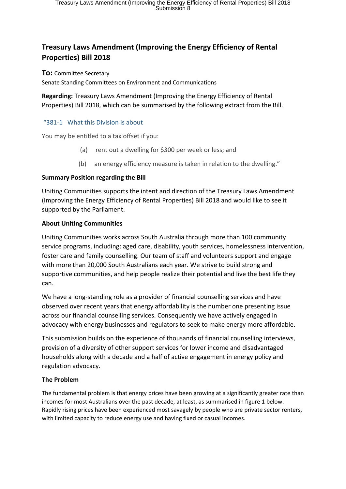#### **Treasury Laws Amendment (Improving the Energy Efficiency of Rental Properties) Bill 2018**

**To:** Committee Secretary

Senate Standing Committees on Environment and Communications

**Regarding:** Treasury Laws Amendment (Improving the Energy Efficiency of Rental Properties) Bill 2018, which can be summarised by the following extract from the Bill.

#### "381-1 What this Division is about

You may be entitled to a tax offset if you:

- (a) rent out a dwelling for \$300 per week or less; and
- (b) an energy efficiency measure is taken in relation to the dwelling."

#### **Summary Position regarding the Bill**

Uniting Communities supports the intent and direction of the Treasury Laws Amendment (Improving the Energy Efficiency of Rental Properties) Bill 2018 and would like to see it supported by the Parliament.

#### **About Uniting Communities**

Uniting Communities works across South Australia through more than 100 community service programs, including: aged care, disability, youth services, homelessness intervention, foster care and family counselling. Our team of staff and volunteers support and engage with more than 20,000 South Australians each year. We strive to build strong and supportive communities, and help people realize their potential and live the best life they can.

We have a long-standing role as a provider of financial counselling services and have observed over recent years that energy affordability is the number one presenting issue across our financial counselling services. Consequently we have actively engaged in advocacy with energy businesses and regulators to seek to make energy more affordable.

This submission builds on the experience of thousands of financial counselling interviews, provision of a diversity of other support services for lower income and disadvantaged households along with a decade and a half of active engagement in energy policy and regulation advocacy.

#### **The Problem**

The fundamental problem is that energy prices have been growing at a significantly greater rate than incomes for most Australians over the past decade, at least, as summarised in figure 1 below. Rapidly rising prices have been experienced most savagely by people who are private sector renters, with limited capacity to reduce energy use and having fixed or casual incomes.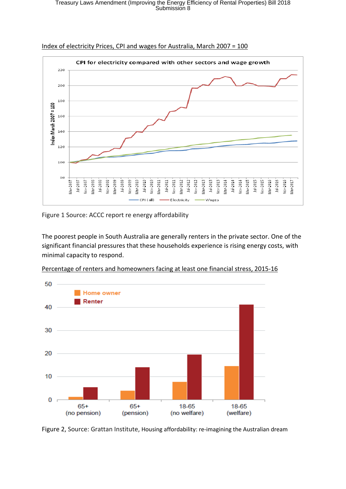### Treasury Laws Amendment (Improving the Energy Efficiency of Rental Properties) Bill 2018 Submission 8



Index of electricity Prices, CPI and wages for Australia, March 2007 = 100

Figure 1 Source: ACCC report re energy affordability

The poorest people in South Australia are generally renters in the private sector. One of the significant financial pressures that these households experience is rising energy costs, with minimal capacity to respond.

Percentage of renters and homeowners facing at least one financial stress, 2015-16



Figure 2, Source: Grattan Institute, Housing affordability: re-imagining the Australian dream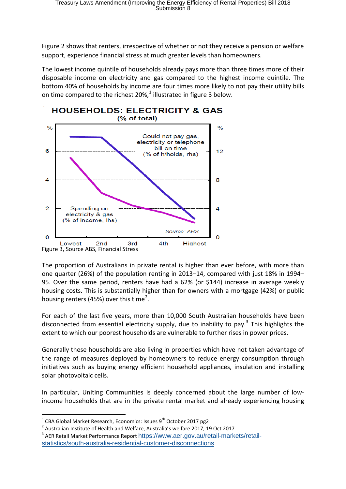Figure 2 shows that renters, irrespective of whether or not they receive a pension or welfare support, experience financial stress at much greater levels than homeowners.

The lowest income quintile of households already pays more than three times more of their disposable income on electricity and gas compared to the highest income quintile. The bottom 40% of households by income are four times more likely to not pay their utility bills on time compared to the richest 20%,<sup>[1](#page-3-0)</sup> illustrated in figure 3 below.



The proportion of Australians in private rental is higher than ever before, with more than one quarter (26%) of the population renting in 2013–14, compared with just 18% in 1994– 95. Over the same period, renters have had a 62% (or \$144) increase in average weekly housing costs. This is substantially higher than for owners with a mortgage (42%) or public housing renters (45%) over this time<sup>[2](#page-3-1)</sup>.

For each of the last five years, more than 10,000 South Australian households have been disconnected from essential electricity supply, due to inability to pay.<sup>[3](#page-3-2)</sup> This highlights the extent to which our poorest households are vulnerable to further rises in power prices.

Generally these households are also living in properties which have not taken advantage of the range of measures deployed by homeowners to reduce energy consumption through initiatives such as buying energy efficient household appliances, insulation and installing solar photovoltaic cells.

In particular, Uniting Communities is deeply concerned about the large number of lowincome households that are in the private rental market and already experiencing housing

<span id="page-3-0"></span><sup>&</sup>lt;sup>1</sup> CBA Global Market Research, Economics: Issues 9<sup>th</sup> October 2017 pg2<br><sup>2</sup> Australian Institute of Health and Welfare, Australia's welfare 2017, 19 Oct 2017

<span id="page-3-2"></span><span id="page-3-1"></span><sup>&</sup>lt;sup>3</sup> AER Retail Market Performance Report [https://www.aer.gov.au/retail-markets/retail](https://www.aer.gov.au/retail-markets/retail-statistics/south-australia-residential-customer-disconnections)[statistics/south-australia-residential-customer-disconnections](https://www.aer.gov.au/retail-markets/retail-statistics/south-australia-residential-customer-disconnections).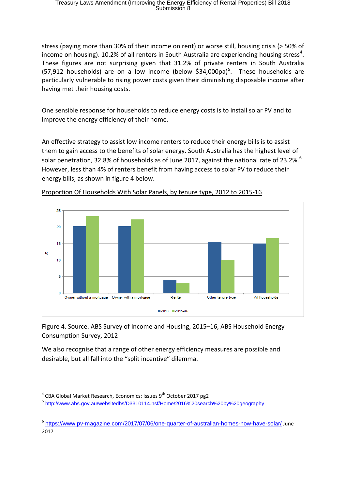stress (paying more than 30% of their income on rent) or worse still, housing crisis (> 50% of income on housing). 10.2% of all renters in South Australia are experiencing housing stress<sup>[4](#page-4-0)</sup>. These figures are not surprising given that 31.2% of private renters in South Australia ([5](#page-4-1)7,912 households) are on a low income (below \$34,000pa)<sup>5</sup>. These households are particularly vulnerable to rising power costs given their diminishing disposable income after having met their housing costs.

One sensible response for households to reduce energy costs is to install solar PV and to improve the energy efficiency of their home.

An effective strategy to assist low income renters to reduce their energy bills is to assist them to gain access to the benefits of solar energy. South Australia has the highest level of solar penetration, 32.8% of households as of June 2017, against the national rate of 23.2%.<sup>[6](#page-4-2)</sup> However, less than 4% of renters benefit from having access to solar PV to reduce their energy bills, as shown in figure 4 below.



Proportion Of Households With Solar Panels, by tenure type, 2012 to 2015-16

Figure 4. Source. ABS Survey of Income and Housing, 2015–16, ABS Household Energy Consumption Survey, 2012

We also recognise that a range of other energy efficiency measures are possible and desirable, but all fall into the "split incentive" dilemma.

<span id="page-4-0"></span> $4$  CBA Global Market Research, Economics: Issues  $9<sup>th</sup>$  October 2017 pg2

<span id="page-4-1"></span><sup>5</sup> <http://www.abs.gov.au/websitedbs/D3310114.nsf/Home/2016%20search%20by%20geography>

<span id="page-4-2"></span><sup>6</sup> <https://www.pv-magazine.com/2017/07/06/one-quarter-of-australian-homes-now-have-solar/> June 2017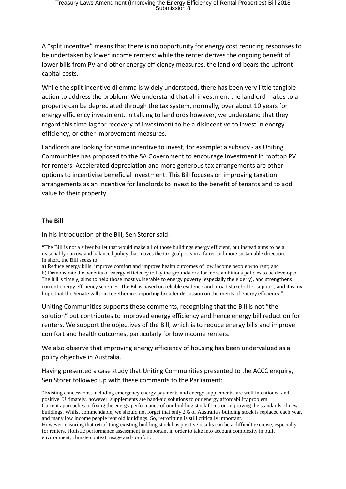A "split incentive" means that there is no opportunity for energy cost reducing responses to be undertaken by lower income renters: while the renter derives the ongoing benefit of lower bills from PV and other energy efficiency measures, the landlord bears the upfront capital costs.

While the split incentive dilemma is widely understood, there has been very little tangible action to address the problem. We understand that all investment the landlord makes to a property can be depreciated through the tax system, normally, over about 10 years for energy efficiency investment. In talking to landlords however, we understand that they regard this time lag for recovery of investment to be a disincentive to invest in energy efficiency, or other improvement measures.

Landlords are looking for some incentive to invest, for example; a subsidy - as Uniting Communities has proposed to the SA Government to encourage investment in rooftop PV for renters. Accelerated depreciation and more generous tax arrangements are other options to incentivise beneficial investment. This Bill focuses on improving taxation arrangements as an incentive for landlords to invest to the benefit of tenants and to add value to their property.

#### **The Bill**

In his introduction of the Bill, Sen Storer said:

"The Bill is not a silver bullet that would make all of those buildings energy efficient, but instead aims to be a reasonably narrow and balanced policy that moves the tax goalposts in a fairer and more sustainable direction. In short, the Bill seeks to:

a) Reduce energy bills, improve comfort and improve health outcomes of low income people who rent; and b) Demonstrate the benefits of energy efficiency to lay the groundwork for more ambitious policies to be developed. The Bill is timely, aims to help those most vulnerable to energy poverty (especially the elderly), and strengthens current energy efficiency schemes. The Bill is based on reliable evidence and broad stakeholder support, and it is my hope that the Senate will join together in supporting broader discussion on the merits of energy efficiency."

Uniting Communities supports these comments, recognising that the Bill is not "the solution" but contributes to improved energy efficiency and hence energy bill reduction for renters. We support the objectives of the Bill, which is to reduce energy bills and improve comfort and health outcomes, particularly for low income renters.

We also observe that improving energy efficiency of housing has been undervalued as a policy objective in Australia.

Having presented a case study that Uniting Communities presented to the ACCC enquiry, Sen Storer followed up with these comments to the Parliament:

"Existing concessions, including emergency energy payments and energy supplements, are well intentioned and positive. Ultimately, however, supplements are band-aid solutions to our energy affordability problem. Current approaches to fixing the energy performance of our building stock focus on improving the standards of new buildings. Whilst commendable, we should not forget that only 2% of Australia's building stock is replaced each year, and many low income people rent old buildings. So, retrofitting is still critically important. However, ensuring that retrofitting existing building stock has positive results can be a difficult exercise, especially for renters. Holistic performance assessment is important in order to take into account complexity in built environment, climate context, usage and comfort.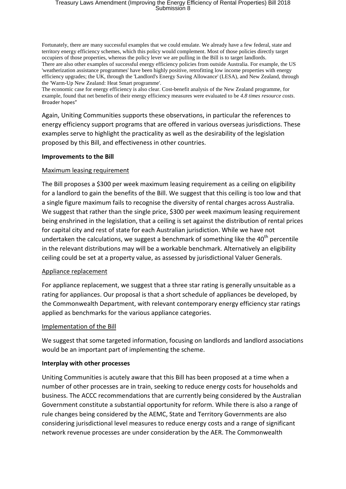### Treasury Laws Amendment (Improving the Energy Efficiency of Rental Properties) Bill 2018 Submission 8

Fortunately, there are many successful examples that we could emulate. We already have a few federal, state and territory energy efficiency schemes, which this policy would complement. Most of those policies directly target occupiers of those properties, whereas the policy lever we are pulling in the Bill is to target landlords. There are also other examples of successful energy efficiency policies from outside Australia. For example, the US 'weatherization assistance programmes' have been highly positive, retrofitting low income properties with energy efficiency upgrades; the UK, through the 'Landlord's Energy Saving Allowance' (LESA), and New Zealand, through the 'Warm-Up New Zealand: Heat Smart programme'.

The economic case for energy efficiency is also clear. Cost-benefit analysis of the New Zealand programme, for example, found that net benefits of their energy efficiency measures were evaluated to be *4.8 times resource costs*. Broader hopes"

Again, Uniting Communities supports these observations, in particular the references to energy efficiency support programs that are offered in various overseas jurisdictions. These examples serve to highlight the practicality as well as the desirability of the legislation proposed by this Bill, and effectiveness in other countries.

#### **Improvements to the Bill**

#### Maximum leasing requirement

The Bill proposes a \$300 per week maximum leasing requirement as a ceiling on eligibility for a landlord to gain the benefits of the Bill. We suggest that this ceiling is too low and that a single figure maximum fails to recognise the diversity of rental charges across Australia. We suggest that rather than the single price, \$300 per week maximum leasing requirement being enshrined in the legislation, that a ceiling is set against the distribution of rental prices for capital city and rest of state for each Australian jurisdiction. While we have not undertaken the calculations, we suggest a benchmark of something like the  $40<sup>th</sup>$  percentile in the relevant distributions may will be a workable benchmark. Alternatively an eligibility ceiling could be set at a property value, as assessed by jurisdictional Valuer Generals.

#### Appliance replacement

For appliance replacement, we suggest that a three star rating is generally unsuitable as a rating for appliances. Our proposal is that a short schedule of appliances be developed, by the Commonwealth Department, with relevant contemporary energy efficiency star ratings applied as benchmarks for the various appliance categories.

#### Implementation of the Bill

We suggest that some targeted information, focusing on landlords and landlord associations would be an important part of implementing the scheme.

#### **Interplay with other processes**

Uniting Communities is acutely aware that this Bill has been proposed at a time when a number of other processes are in train, seeking to reduce energy costs for households and business. The ACCC recommendations that are currently being considered by the Australian Government constitute a substantial opportunity for reform. While there is also a range of rule changes being considered by the AEMC, State and Territory Governments are also considering jurisdictional level measures to reduce energy costs and a range of significant network revenue processes are under consideration by the AER. The Commonwealth